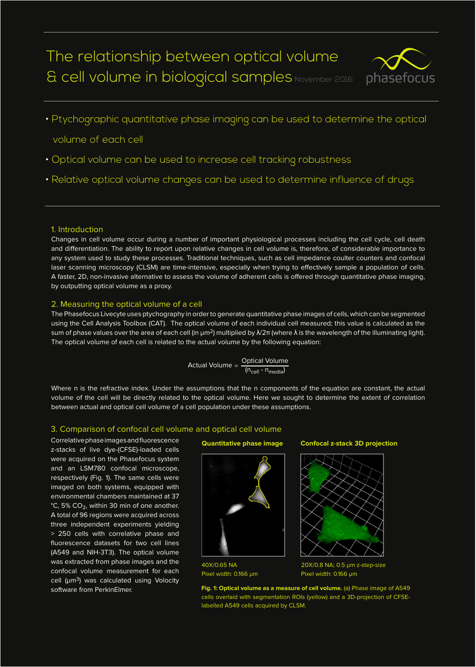# The relationship between optical volume & cell volume in biological samples November 2016



• Ptychographic quantitative phase imaging can be used to determine the optical

volume of each cell

- Optical volume can be used to increase cell tracking robustness
- Relative optical volume changes can be used to determine influence of drugs

### 1. Introduction

Changes in cell volume occur during a number of important physiological processes including the cell cycle, cell death and differentiation. The ability to report upon relative changes in cell volume is, therefore, of considerable importance to any system used to study these processes. Traditional techniques, such as cell impedance coulter counters and confocal laser scanning microscopy (CLSM) are time-intensive, especially when trying to effectively sample a population of cells. A faster, 2D, non-invasive alternative to assess the volume of adherent cells is offered through quantitative phase imaging, by outputting optical volume as a proxy.

### 2. Measuring the optical volume of a cell

The Phasefocus Livecyte uses ptychography in order to generate quantitative phase images of cells, which can be segmented using the Cell Analysis Toolbox (CAT). The optical volume of each individual cell measured; this value is calculated as the sum of phase values over the area of each cell (in  $\mu$ m<sup>2</sup>) multiplied by  $\lambda/2\pi$  (where  $\lambda$  is the wavelength of the illuminating light). The optical volume of each cell is related to the actual volume by the following equation:

$$
Actual Volume = \frac{Optional Volume}{(n_{cell} - n_{median})}
$$

Where n is the refractive index. Under the assumptions that the n components of the equation are constant, the actual volume of the cell will be directly related to the optical volume. Here we sought to determine the extent of correlation between actual and optical cell volume of a cell population under these assumptions.

### 3. Comparison of confocal cell volume and optical cell volume

Correlative phase images and fluorescence z-stacks of live dye-(CFSE)-loaded cells were acquired on the Phasefocus system and an LSM780 confocal microscope, respectively (Fig. 1). The same cells were imaged on both systems, equipped with environmental chambers maintained at 37 °C, 5% CO<sub>2</sub>, within 30 min of one another. A total of 96 regions were acquired across three independent experiments yielding > 250 cells with correlative phase and fluorescence datasets for two cell lines (A549 and NIH-3T3). The optical volume was extracted from phase images and the confocal volume measurement for each cell (um<sup>3</sup>) was calculated using Volocity software from PerkinElmer.



40X/0.65 NA Pixel width: 0.166 µm

### **Quantitative phase image Confocal z-stack 3D projection**



20X/0.8 NA; 0.5 µm z-step-size Pixel width: 0.166 µm

**Fig. 1: Optical volume as a measure of cell volume.** (a) Phase image of A549 cells overlaid with segmentation ROIs (yellow) and a 3D-projection of CFSElabelled A549 cells acquired by CLSM.